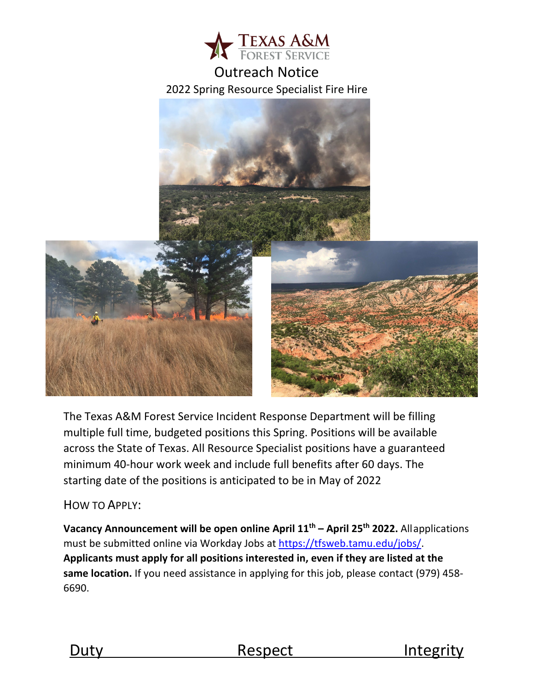

# Outreach Notice 2022 Spring Resource Specialist Fire Hire



The Texas A&M Forest Service Incident Response Department will be filling multiple full time, budgeted positions this Spring. Positions will be available across the State of Texas. All Resource Specialist positions have a guaranteed minimum 40-hour work week and include full benefits after 60 days. The starting date of the positions is anticipated to be in May of 2022

## HOW TO APPLY:

**[Vacancy A](http://texasforestservice.tamu.edu/content/article.aspx?id=20086)nnouncement will be open online April 11th – April 25th 2022.** Allapplications must be submitted online via Workday Jobs at [https://tfsweb.tamu.edu/jobs/.](https://tfsweb.tamu.edu/jobs/) **Applicants must apply for all positions interested in, even if they are listed at the same location.** If you need assistance in applying for this job, please contact (979) 458- 6690.



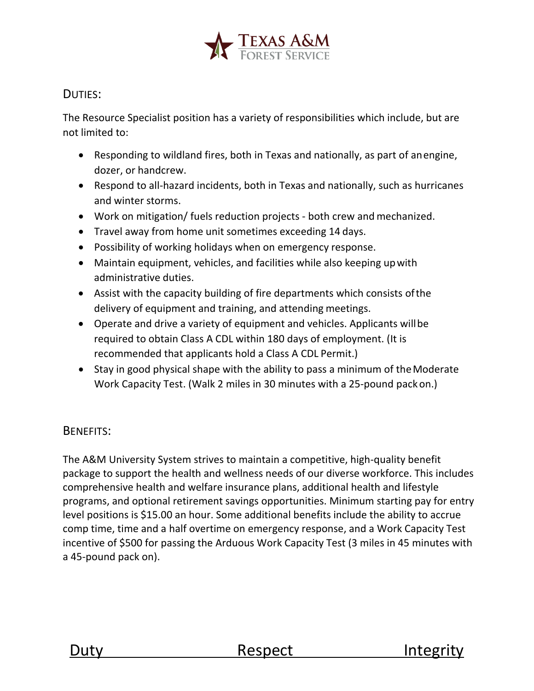

## DUTIES:

The Resource Specialist position has a variety of responsibilities which include, but are not limited to:

- Responding to wildland fires, both in Texas and nationally, as part of anengine, dozer, or handcrew.
- Respond to all-hazard incidents, both in Texas and nationally, such as hurricanes and winter storms.
- Work on mitigation/ fuels reduction projects both crew and mechanized.
- Travel away from home unit sometimes exceeding 14 days.
- Possibility of working holidays when on emergency response.
- Maintain equipment, vehicles, and facilities while also keeping upwith administrative duties.
- Assist with the capacity building of fire departments which consists ofthe delivery of equipment and training, and attending meetings.
- Operate and drive a variety of equipment and vehicles. Applicants willbe required to obtain Class A CDL within 180 days of employment. (It is recommended that applicants hold a Class A CDL Permit.)
- Stay in good physical shape with the ability to pass a minimum of the Moderate Work Capacity Test. (Walk 2 miles in 30 minutes with a 25-pound packon.)

## BENEFITS:

The A&M University System strives to maintain a competitive, high-quality benefit package to support the health and wellness needs of our diverse workforce. This includes comprehensive health and welfare insurance plans, additional health and lifestyle programs, and optional retirement savings opportunities. Minimum starting pay for entry level positions is \$15.00 an hour. Some additional benefits include the ability to accrue comp time, time and a half overtime on emergency response, and a Work Capacity Test incentive of \$500 for passing the Arduous Work Capacity Test (3 miles in 45 minutes with a 45-pound pack on).